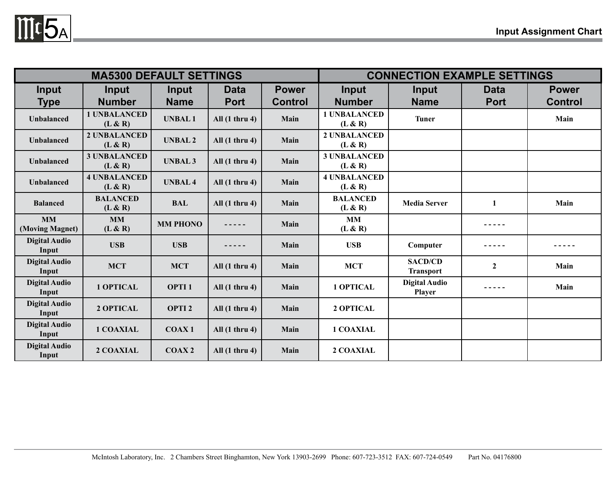

|                               | <b>MA5300 DEFAULT SETTINGS</b> |                             |                            | <b>CONNECTION EXAMPLE SETTINGS</b> |                                |                                    |                            |                                |
|-------------------------------|--------------------------------|-----------------------------|----------------------------|------------------------------------|--------------------------------|------------------------------------|----------------------------|--------------------------------|
| <b>Input</b><br><b>Type</b>   | Input<br><b>Number</b>         | <b>Input</b><br><b>Name</b> | <b>Data</b><br><b>Port</b> | <b>Power</b><br><b>Control</b>     | Input<br><b>Number</b>         | Input<br><b>Name</b>               | <b>Data</b><br><b>Port</b> | <b>Power</b><br><b>Control</b> |
| <b>Unbalanced</b>             | <b>1 UNBALANCED</b><br>(L & R) | <b>UNBAL1</b>               | All $(1$ thru 4)           | Main                               | <b>1 UNBALANCED</b><br>(L & R) | <b>Tuner</b>                       |                            | Main                           |
| <b>Unbalanced</b>             | <b>2 UNBALANCED</b><br>(L & R) | <b>UNBAL 2</b>              | All $(1$ thru 4)           | Main                               | <b>2 UNBALANCED</b><br>(L & R) |                                    |                            |                                |
| Unbalanced                    | <b>3 UNBALANCED</b><br>(L & R) | <b>UNBAL3</b>               | All $(1$ thru 4)           | Main                               | <b>3 UNBALANCED</b><br>(L & R) |                                    |                            |                                |
| <b>Unbalanced</b>             | <b>4 UNBALANCED</b><br>(L & R) | <b>UNBAL4</b>               | All $(1$ thru 4)           | Main                               | <b>4 UNBALANCED</b><br>(L & R) |                                    |                            |                                |
| <b>Balanced</b>               | <b>BALANCED</b><br>(L & R)     | <b>BAL</b>                  | All $(1$ thru 4)           | Main                               | <b>BALANCED</b><br>(L & R)     | <b>Media Server</b>                | 1                          | Main                           |
| <b>MM</b><br>(Moving Magnet)  | <b>MM</b><br>(L & R)           | <b>MM PHONO</b>             |                            | Main                               | <b>MM</b><br>(L & R)           |                                    |                            |                                |
| <b>Digital Audio</b><br>Input | <b>USB</b>                     | <b>USB</b>                  |                            | <b>Main</b>                        | <b>USB</b>                     | Computer                           |                            |                                |
| <b>Digital Audio</b><br>Input | <b>MCT</b>                     | <b>MCT</b>                  | All $(1$ thru 4)           | Main                               | <b>MCT</b>                     | <b>SACD/CD</b><br><b>Transport</b> | $\mathbf{2}$               | Main                           |
| <b>Digital Audio</b><br>Input | 1 OPTICAL                      | OPTI <sub>1</sub>           | All $(1$ thru 4)           | Main                               | <b>1 OPTICAL</b>               | <b>Digital Audio</b><br>Player     |                            | Main                           |
| <b>Digital Audio</b><br>Input | 2 OPTICAL                      | OPTI <sub>2</sub>           | All $(1$ thru 4)           | Main                               | 2 OPTICAL                      |                                    |                            |                                |
| <b>Digital Audio</b><br>Input | <b>1 COAXIAL</b>               | COAX <sub>1</sub>           | All $(1$ thru 4)           | Main                               | <b>1 COAXIAL</b>               |                                    |                            |                                |
| <b>Digital Audio</b><br>Input | 2 COAXIAL                      | COAX <sub>2</sub>           | All $(1$ thru 4)           | Main                               | 2 COAXIAL                      |                                    |                            |                                |